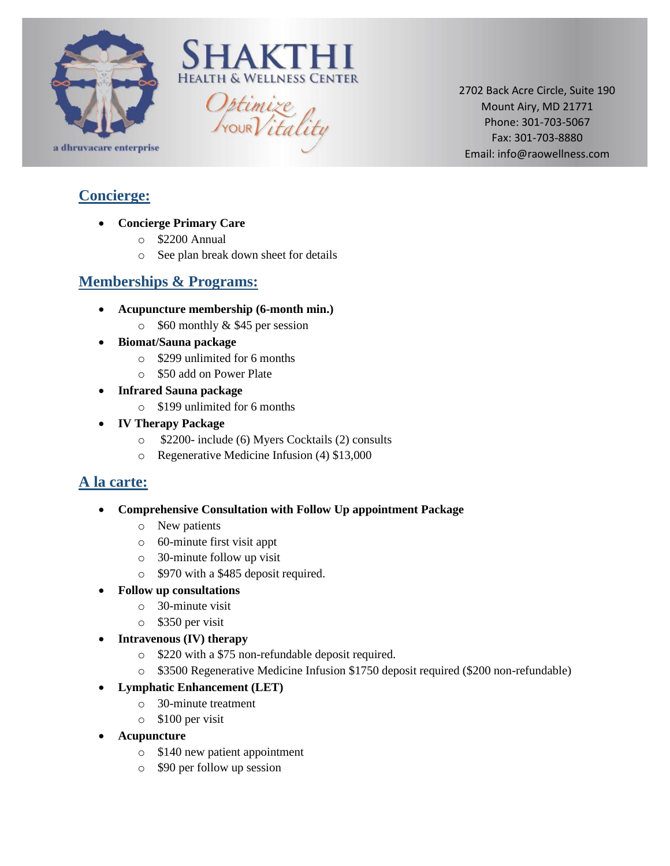



Optimize<br>FrouwVitality

2702 Back Acre Circle, Suite 190 Mount Airy, MD 21771 Phone: 301-703-5067 Fax: 301-703-8880 Email: info@raowellness.com

## **Concierge:**

- **Concierge Primary Care** 
	- o \$2200 Annual
	- o See plan break down sheet for details

## **Memberships & Programs:**

- **Acupuncture membership (6-month min.)** 
	- $\circ$  \$60 monthly & \$45 per session
- **Biomat/Sauna package** 
	- o \$299 unlimited for 6 months
	- o \$50 add on Power Plate
- **Infrared Sauna package** 
	- o \$199 unlimited for 6 months
- **IV Therapy Package** 
	- o \$2200- include (6) Myers Cocktails (2) consults
	- o Regenerative Medicine Infusion (4) \$13,000

## **A la carte:**

- **Comprehensive Consultation with Follow Up appointment Package**
	- o New patients
	- o 60-minute first visit appt
	- o 30-minute follow up visit
	- o \$970 with a \$485 deposit required.
- **Follow up consultations**
	- o 30-minute visit
	- o \$350 per visit
- **Intravenous (IV) therapy**
	- o \$220 with a \$75 non-refundable deposit required.
	- o \$3500 Regenerative Medicine Infusion \$1750 deposit required (\$200 non-refundable)

## • **Lymphatic Enhancement (LET)**

- o 30-minute treatment
- o \$100 per visit
- **Acupuncture** 
	- o \$140 new patient appointment
	- o \$90 per follow up session